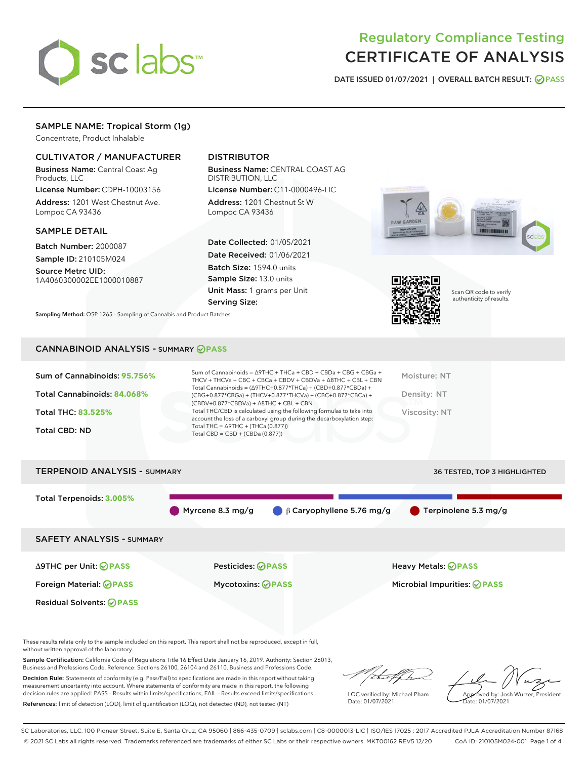

# Regulatory Compliance Testing CERTIFICATE OF ANALYSIS

DATE ISSUED 01/07/2021 | OVERALL BATCH RESULT: @ PASS

## SAMPLE NAME: Tropical Storm (1g)

Concentrate, Product Inhalable

## CULTIVATOR / MANUFACTURER

Business Name: Central Coast Ag Products, LLC

License Number: CDPH-10003156 Address: 1201 West Chestnut Ave. Lompoc CA 93436

#### SAMPLE DETAIL

Batch Number: 2000087 Sample ID: 210105M024

Source Metrc UID: 1A4060300002EE1000010887

## DISTRIBUTOR

Business Name: CENTRAL COAST AG DISTRIBUTION, LLC

License Number: C11-0000496-LIC Address: 1201 Chestnut St W Lompoc CA 93436

Date Collected: 01/05/2021 Date Received: 01/06/2021 Batch Size: 1594.0 units Sample Size: 13.0 units Unit Mass: 1 grams per Unit Serving Size:

Sampling Method: QSP 1265 - Sampling of Cannabis and Product Batches





Scan QR code to verify authenticity of results.

### CANNABINOID ANALYSIS - SUMMARY **PASS**

| Sum of Cannabinoids: 95.756%<br>Total Cannabinoids: 84.068%<br><b>Total THC: 83.525%</b><br><b>Total CBD: ND</b> | Sum of Cannabinoids = $\triangle$ 9THC + THCa + CBD + CBDa + CBG + CBGa +<br>THCV + THCVa + CBC + CBCa + CBDV + CBDVa + $\Delta$ 8THC + CBL + CBN<br>Total Cannabinoids = $(\Delta$ 9THC+0.877*THCa) + (CBD+0.877*CBDa) +<br>$(CBG+0.877*CBGa) + (THCV+0.877*THCVa) + (CBC+0.877*CBCa) +$<br>$(CBDV+0.877*CBDVa) + \Delta 8THC + CBL + CBN$<br>Total THC/CBD is calculated using the following formulas to take into<br>account the loss of a carboxyl group during the decarboxylation step:<br>Total THC = $\triangle$ 9THC + (THCa (0.877))<br>Total CBD = $CBD + (CBDa (0.877))$ | Moisture: NT<br>Density: NT<br>Viscosity: NT |
|------------------------------------------------------------------------------------------------------------------|--------------------------------------------------------------------------------------------------------------------------------------------------------------------------------------------------------------------------------------------------------------------------------------------------------------------------------------------------------------------------------------------------------------------------------------------------------------------------------------------------------------------------------------------------------------------------------------|----------------------------------------------|
| <b>TERPENOID ANALYSIS - SUMMARY</b>                                                                              |                                                                                                                                                                                                                                                                                                                                                                                                                                                                                                                                                                                      | <b>36 TESTED, TOP 3 HIGHLIGHTED</b>          |

Total Terpenoids: **3.005%** Myrcene 8.3 mg/g β Caryophyllene 5.76 mg/g Terpinolene 5.3 mg/g SAFETY ANALYSIS - SUMMARY Δ9THC per Unit: **PASS** Pesticides: **PASS** Heavy Metals: **PASS** Foreign Material: **PASS** Mycotoxins: **PASS** Microbial Impurities: **PASS** Residual Solvents: **PASS** 

These results relate only to the sample included on this report. This report shall not be reproduced, except in full, without written approval of the laboratory.

Sample Certification: California Code of Regulations Title 16 Effect Date January 16, 2019. Authority: Section 26013, Business and Professions Code. Reference: Sections 26100, 26104 and 26110, Business and Professions Code.

Decision Rule: Statements of conformity (e.g. Pass/Fail) to specifications are made in this report without taking measurement uncertainty into account. Where statements of conformity are made in this report, the following decision rules are applied: PASS – Results within limits/specifications, FAIL – Results exceed limits/specifications. References: limit of detection (LOD), limit of quantification (LOQ), not detected (ND), not tested (NT)

:Hatf Is

LQC verified by: Michael Pham Date: 01/07/2021

Approved by: Josh Wurzer, President ate: 01/07/2021

SC Laboratories, LLC. 100 Pioneer Street, Suite E, Santa Cruz, CA 95060 | 866-435-0709 | sclabs.com | C8-0000013-LIC | ISO/IES 17025 : 2017 Accredited PJLA Accreditation Number 87168 © 2021 SC Labs all rights reserved. Trademarks referenced are trademarks of either SC Labs or their respective owners. MKT00162 REV5 12/20 CoA ID: 210105M024-001 Page 1 of 4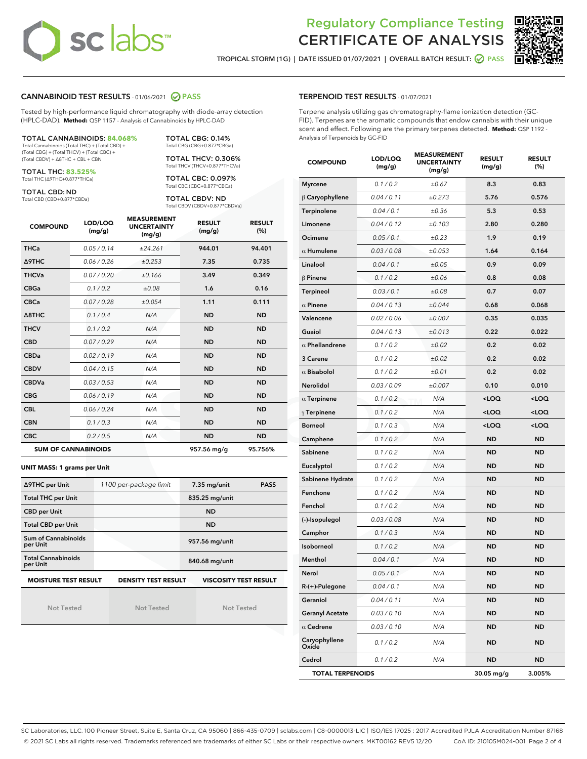# **sclabs**™

## Regulatory Compliance Testing CERTIFICATE OF ANALYSIS

TROPICAL STORM (1G) | DATE ISSUED 01/07/2021 | OVERALL BATCH RESULT: **○** PASS



## CANNABINOID TEST RESULTS - 01/06/2021 2 PASS

Tested by high-performance liquid chromatography with diode-array detection (HPLC-DAD). **Method:** QSP 1157 - Analysis of Cannabinoids by HPLC-DAD

#### TOTAL CANNABINOIDS: **84.068%** Total Cannabinoids (Total THC) + (Total CBD) +

(Total CBG) + (Total THCV) + (Total CBC) + (Total CBDV) + ∆8THC + CBL + CBN

TOTAL THC: **83.525%** Total THC (∆9THC+0.877\*THCa)

TOTAL CBD: ND

Total CBD (CBD+0.877\*CBDa)

TOTAL THCV: 0.306% Total THCV (THCV+0.877\*THCVa)

TOTAL CBG: 0.14% Total CBG (CBG+0.877\*CBGa)

TOTAL CBC: 0.097% Total CBC (CBC+0.877\*CBCa)

TOTAL CBDV: ND Total CBDV (CBDV+0.877\*CBDVa)

| <b>COMPOUND</b>  | LOD/LOQ<br>(mg/g)          | <b>MEASUREMENT</b><br><b>UNCERTAINTY</b><br>(mg/g) | <b>RESULT</b><br>(mg/g) | <b>RESULT</b><br>(% ) |
|------------------|----------------------------|----------------------------------------------------|-------------------------|-----------------------|
| <b>THCa</b>      | 0.05/0.14                  | ±24.261                                            | 944.01                  | 94.401                |
| <b>A9THC</b>     | 0.06 / 0.26                | ±0.253                                             | 7.35                    | 0.735                 |
| <b>THCVa</b>     | 0.07 / 0.20                | ±0.166                                             | 3.49                    | 0.349                 |
| <b>CBGa</b>      | 0.1/0.2                    | ±0.08                                              | 1.6                     | 0.16                  |
| <b>CBCa</b>      | 0.07/0.28                  | ±0.054                                             | 1.11                    | 0.111                 |
| $\triangle$ 8THC | 0.1/0.4                    | N/A                                                | <b>ND</b>               | <b>ND</b>             |
| <b>THCV</b>      | 0.1/0.2                    | N/A                                                | <b>ND</b>               | <b>ND</b>             |
| <b>CBD</b>       | 0.07/0.29                  | N/A                                                | <b>ND</b>               | <b>ND</b>             |
| <b>CBDa</b>      | 0.02/0.19                  | N/A                                                | <b>ND</b>               | <b>ND</b>             |
| <b>CBDV</b>      | 0.04 / 0.15                | N/A                                                | <b>ND</b>               | <b>ND</b>             |
| <b>CBDVa</b>     | 0.03/0.53                  | N/A                                                | <b>ND</b>               | <b>ND</b>             |
| <b>CBG</b>       | 0.06/0.19                  | N/A                                                | <b>ND</b>               | <b>ND</b>             |
| <b>CBL</b>       | 0.06 / 0.24                | N/A                                                | <b>ND</b>               | <b>ND</b>             |
| <b>CBN</b>       | 0.1/0.3                    | N/A                                                | <b>ND</b>               | <b>ND</b>             |
| <b>CBC</b>       | 0.2 / 0.5                  | N/A                                                | <b>ND</b>               | <b>ND</b>             |
|                  | <b>SUM OF CANNABINOIDS</b> |                                                    | 957.56 mg/g             | 95.756%               |

#### **UNIT MASS: 1 grams per Unit**

| ∆9THC per Unit                                                                            | 1100 per-package limit | $7.35$ mg/unit<br><b>PASS</b> |  |  |  |
|-------------------------------------------------------------------------------------------|------------------------|-------------------------------|--|--|--|
| <b>Total THC per Unit</b>                                                                 |                        | 835.25 mg/unit                |  |  |  |
| <b>CBD per Unit</b>                                                                       |                        | <b>ND</b>                     |  |  |  |
| <b>Total CBD per Unit</b>                                                                 |                        | <b>ND</b>                     |  |  |  |
| Sum of Cannabinoids<br>per Unit                                                           |                        | 957.56 mg/unit                |  |  |  |
| <b>Total Cannabinoids</b><br>per Unit                                                     |                        | 840.68 mg/unit                |  |  |  |
| <b>MOISTURE TEST RESULT</b><br><b>VISCOSITY TEST RESULT</b><br><b>DENSITY TEST RESULT</b> |                        |                               |  |  |  |

Not Tested

Not Tested

Not Tested

#### TERPENOID TEST RESULTS - 01/07/2021

Terpene analysis utilizing gas chromatography-flame ionization detection (GC-FID). Terpenes are the aromatic compounds that endow cannabis with their unique scent and effect. Following are the primary terpenes detected. **Method:** QSP 1192 - Analysis of Terpenoids by GC-FID

| <b>COMPOUND</b>         | LOD/LOQ<br>(mg/g) | <b>MEASUREMENT</b><br><b>UNCERTAINTY</b><br>(mg/g) | <b>RESULT</b><br>(mg/g)                         | <b>RESULT</b><br>(%) |
|-------------------------|-------------------|----------------------------------------------------|-------------------------------------------------|----------------------|
| <b>Myrcene</b>          | 0.1 / 0.2         | ±0.67                                              | 8.3                                             | 0.83                 |
| $\beta$ Caryophyllene   | 0.04 / 0.11       | ±0.273                                             | 5.76                                            | 0.576                |
| Terpinolene             | 0.04 / 0.1        | ±0.36                                              | 5.3                                             | 0.53                 |
| Limonene                | 0.04 / 0.12       | ±0.103                                             | 2.80                                            | 0.280                |
| Ocimene                 | 0.05 / 0.1        | ±0.23                                              | 1.9                                             | 0.19                 |
| $\alpha$ Humulene       | 0.03 / 0.08       | ±0.053                                             | 1.64                                            | 0.164                |
| Linalool                | 0.04 / 0.1        | ±0.05                                              | 0.9                                             | 0.09                 |
| $\beta$ Pinene          | 0.1 / 0.2         | ±0.06                                              | 0.8                                             | 0.08                 |
| Terpineol               | 0.03 / 0.1        | ±0.08                                              | 0.7                                             | 0.07                 |
| $\alpha$ Pinene         | 0.04 / 0.13       | ±0.044                                             | 0.68                                            | 0.068                |
| Valencene               | 0.02 / 0.06       | ±0.007                                             | 0.35                                            | 0.035                |
| Guaiol                  | 0.04 / 0.13       | ±0.013                                             | 0.22                                            | 0.022                |
| $\alpha$ Phellandrene   | 0.1 / 0.2         | ±0.02                                              | 0.2                                             | 0.02                 |
| 3 Carene                | 0.1 / 0.2         | ±0.02                                              | 0.2                                             | 0.02                 |
| $\alpha$ Bisabolol      | 0.1 / 0.2         | ±0.01                                              | 0.2                                             | 0.02                 |
| Nerolidol               | 0.03 / 0.09       | ±0.007                                             | 0.10                                            | 0.010                |
| $\alpha$ Terpinene      | 0.1 / 0.2         | N/A                                                | <loq< th=""><th><loq< th=""></loq<></th></loq<> | <loq< th=""></loq<>  |
| $\gamma$ Terpinene      | 0.1 / 0.2         | N/A                                                | <loq< th=""><th><loq< th=""></loq<></th></loq<> | <loq< th=""></loq<>  |
| <b>Borneol</b>          | 0.1 / 0.3         | N/A                                                | <loq< th=""><th><loq< th=""></loq<></th></loq<> | <loq< th=""></loq<>  |
| Camphene                | 0.1 / 0.2         | N/A                                                | <b>ND</b>                                       | <b>ND</b>            |
| Sabinene                | 0.1 / 0.2         | N/A                                                | <b>ND</b>                                       | <b>ND</b>            |
| Eucalyptol              | 0.1 / 0.2         | N/A                                                | <b>ND</b>                                       | <b>ND</b>            |
| Sabinene Hydrate        | 0.1 / 0.2         | N/A                                                | <b>ND</b>                                       | <b>ND</b>            |
| Fenchone                | 0.1 / 0.2         | N/A                                                | <b>ND</b>                                       | <b>ND</b>            |
| Fenchol                 | 0.1 / 0.2         | N/A                                                | ND                                              | <b>ND</b>            |
| (-)-Isopulegol          | 0.03 / 0.08       | N/A                                                | <b>ND</b>                                       | <b>ND</b>            |
| Camphor                 | 0.1 / 0.3         | N/A                                                | ND                                              | <b>ND</b>            |
| Isoborneol              | 0.1 / 0.2         | N/A                                                | ND                                              | <b>ND</b>            |
| Menthol                 | 0.04 / 0.1        | N/A                                                | <b>ND</b>                                       | <b>ND</b>            |
| Nerol                   | 0.05 / 0.1        | N/A                                                | ND                                              | <b>ND</b>            |
| R-(+)-Pulegone          | 0.04 / 0.1        | N/A                                                | ND                                              | ND                   |
| Geraniol                | 0.04 / 0.11       | N/A                                                | ND                                              | <b>ND</b>            |
| <b>Geranyl Acetate</b>  | 0.03 / 0.10       | N/A                                                | ND                                              | ND                   |
| $\alpha$ Cedrene        | 0.03 / 0.10       | N/A                                                | ND                                              | ND                   |
| Caryophyllene<br>Oxide  | 0.1 / 0.2         | N/A                                                | <b>ND</b>                                       | <b>ND</b>            |
| Cedrol                  | 0.1/0.2           | N/A                                                | ND                                              | ND                   |
| <b>TOTAL TERPENOIDS</b> |                   |                                                    | 30.05 mg/g                                      | 3.005%               |

SC Laboratories, LLC. 100 Pioneer Street, Suite E, Santa Cruz, CA 95060 | 866-435-0709 | sclabs.com | C8-0000013-LIC | ISO/IES 17025 : 2017 Accredited PJLA Accreditation Number 87168 © 2021 SC Labs all rights reserved. Trademarks referenced are trademarks of either SC Labs or their respective owners. MKT00162 REV5 12/20 CoA ID: 210105M024-001 Page 2 of 4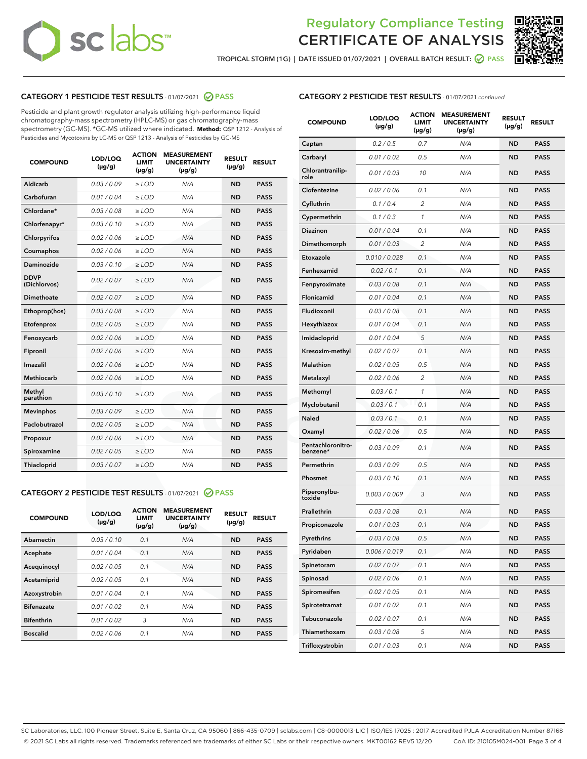# **sc** labs™

## Regulatory Compliance Testing CERTIFICATE OF ANALYSIS



TROPICAL STORM (1G) | DATE ISSUED 01/07/2021 | OVERALL BATCH RESULT: @ PASS

## CATEGORY 1 PESTICIDE TEST RESULTS - 01/07/2021 @ PASS

Pesticide and plant growth regulator analysis utilizing high-performance liquid chromatography-mass spectrometry (HPLC-MS) or gas chromatography-mass spectrometry (GC-MS). \*GC-MS utilized where indicated. **Method:** QSP 1212 - Analysis of Pesticides and Mycotoxins by LC-MS or QSP 1213 - Analysis of Pesticides by GC-MS

| <b>COMPOUND</b>             | LOD/LOQ<br>$(\mu g/g)$ | <b>ACTION</b><br>LIMIT<br>$(\mu q/q)$ | <b>MEASUREMENT</b><br><b>UNCERTAINTY</b><br>$(\mu g/g)$ | <b>RESULT</b><br>$(\mu g/g)$ | <b>RESULT</b> |
|-----------------------------|------------------------|---------------------------------------|---------------------------------------------------------|------------------------------|---------------|
| Aldicarb                    | 0.03/0.09              | $\ge$ LOD                             | N/A                                                     | <b>ND</b>                    | <b>PASS</b>   |
| Carbofuran                  | 0.01 / 0.04            | $>$ LOD                               | N/A                                                     | <b>ND</b>                    | <b>PASS</b>   |
| Chlordane*                  | 0.03 / 0.08            | ≥ LOD                                 | N/A                                                     | <b>ND</b>                    | <b>PASS</b>   |
| Chlorfenapyr*               | 0.03/0.10              | $\ge$ LOD                             | N/A                                                     | <b>ND</b>                    | <b>PASS</b>   |
| Chlorpyrifos                | 0.02 / 0.06            | $\geq$ LOD                            | N/A                                                     | <b>ND</b>                    | <b>PASS</b>   |
| Coumaphos                   | 0.02 / 0.06            | $\geq$ LOD                            | N/A                                                     | <b>ND</b>                    | <b>PASS</b>   |
| Daminozide                  | 0.03/0.10              | $\ge$ LOD                             | N/A                                                     | <b>ND</b>                    | <b>PASS</b>   |
| <b>DDVP</b><br>(Dichlorvos) | 0.02 / 0.07            | $\geq$ LOD                            | N/A                                                     | <b>ND</b>                    | <b>PASS</b>   |
| Dimethoate                  | 0.02 / 0.07            | $\geq$ LOD                            | N/A                                                     | <b>ND</b>                    | <b>PASS</b>   |
| Ethoprop(hos)               | 0.03 / 0.08            | ≥ LOD                                 | N/A                                                     | <b>ND</b>                    | <b>PASS</b>   |
| Etofenprox                  | 0.02 / 0.05            | $\geq$ LOD                            | N/A                                                     | <b>ND</b>                    | <b>PASS</b>   |
| Fenoxycarb                  | 0.02 / 0.06            | $\geq$ LOD                            | N/A                                                     | <b>ND</b>                    | <b>PASS</b>   |
| Fipronil                    | 0.02 / 0.06            | $\geq$ LOD                            | N/A                                                     | <b>ND</b>                    | <b>PASS</b>   |
| Imazalil                    | 0.02 / 0.06            | $\geq$ LOD                            | N/A                                                     | <b>ND</b>                    | <b>PASS</b>   |
| Methiocarb                  | 0.02 / 0.06            | ≥ LOD                                 | N/A                                                     | <b>ND</b>                    | <b>PASS</b>   |
| Methyl<br>parathion         | 0.03/0.10              | $\ge$ LOD                             | N/A                                                     | <b>ND</b>                    | <b>PASS</b>   |
| <b>Mevinphos</b>            | 0.03/0.09              | $\geq$ LOD                            | N/A                                                     | <b>ND</b>                    | <b>PASS</b>   |
| Paclobutrazol               | 0.02 / 0.05            | $\geq$ LOD                            | N/A                                                     | <b>ND</b>                    | <b>PASS</b>   |
| Propoxur                    | 0.02 / 0.06            | ≥ LOD                                 | N/A                                                     | <b>ND</b>                    | <b>PASS</b>   |
| Spiroxamine                 | 0.02 / 0.05            | $\geq$ LOD                            | N/A                                                     | <b>ND</b>                    | <b>PASS</b>   |
| Thiacloprid                 | 0.03 / 0.07            | $\geq$ LOD                            | N/A                                                     | <b>ND</b>                    | <b>PASS</b>   |
|                             |                        |                                       |                                                         |                              |               |

## CATEGORY 2 PESTICIDE TEST RESULTS - 01/07/2021 @ PASS

| <b>COMPOUND</b>   | LOD/LOQ<br>$(\mu g/g)$ | <b>ACTION</b><br>LIMIT<br>$(\mu g/g)$ | <b>MEASUREMENT</b><br><b>UNCERTAINTY</b><br>$(\mu g/g)$ | <b>RESULT</b><br>$(\mu g/g)$ | <b>RESULT</b> |
|-------------------|------------------------|---------------------------------------|---------------------------------------------------------|------------------------------|---------------|
| Abamectin         | 0.03/0.10              | 0.1                                   | N/A                                                     | <b>ND</b>                    | <b>PASS</b>   |
| Acephate          | 0.01/0.04              | 0.1                                   | N/A                                                     | <b>ND</b>                    | <b>PASS</b>   |
| Acequinocyl       | 0.02/0.05              | 0.1                                   | N/A                                                     | <b>ND</b>                    | <b>PASS</b>   |
| Acetamiprid       | 0.02/0.05              | 0.1                                   | N/A                                                     | <b>ND</b>                    | <b>PASS</b>   |
| Azoxystrobin      | 0.01/0.04              | 0.1                                   | N/A                                                     | <b>ND</b>                    | <b>PASS</b>   |
| <b>Bifenazate</b> | 0.01/0.02              | 0.1                                   | N/A                                                     | <b>ND</b>                    | <b>PASS</b>   |
| <b>Bifenthrin</b> | 0.01/0.02              | 3                                     | N/A                                                     | <b>ND</b>                    | <b>PASS</b>   |
| <b>Boscalid</b>   | 0.02/0.06              | 0.1                                   | N/A                                                     | <b>ND</b>                    | <b>PASS</b>   |
|                   |                        |                                       |                                                         |                              |               |

| <b>CATEGORY 2 PESTICIDE TEST RESULTS</b> - 01/07/2021 continued |
|-----------------------------------------------------------------|
|                                                                 |

| <b>COMPOUND</b>               | LOD/LOQ<br>$(\mu g/g)$ | <b>ACTION</b><br>LIMIT<br>$(\mu g/g)$ | <b>MEASUREMENT</b><br><b>UNCERTAINTY</b><br>$(\mu g/g)$ | <b>RESULT</b><br>(µg/g) | <b>RESULT</b> |
|-------------------------------|------------------------|---------------------------------------|---------------------------------------------------------|-------------------------|---------------|
| Captan                        | 0.2 / 0.5              | 0.7                                   | N/A                                                     | ND                      | <b>PASS</b>   |
| Carbaryl                      | 0.01 / 0.02            | 0.5                                   | N/A                                                     | ND                      | <b>PASS</b>   |
| Chlorantranilip-<br>role      | 0.01 / 0.03            | 10                                    | N/A                                                     | ND                      | <b>PASS</b>   |
| Clofentezine                  | 0.02 / 0.06            | 0.1                                   | N/A                                                     | ND                      | <b>PASS</b>   |
| Cyfluthrin                    | 0.1 / 0.4              | 2                                     | N/A                                                     | ND                      | <b>PASS</b>   |
| Cypermethrin                  | 0.1 / 0.3              | 1                                     | N/A                                                     | ND                      | PASS          |
| <b>Diazinon</b>               | 0.01 / 0.04            | 0.1                                   | N/A                                                     | ND                      | <b>PASS</b>   |
| Dimethomorph                  | 0.01 / 0.03            | 2                                     | N/A                                                     | ND                      | <b>PASS</b>   |
| Etoxazole                     | 0.010 / 0.028          | 0.1                                   | N/A                                                     | <b>ND</b>               | PASS          |
| Fenhexamid                    | 0.02 / 0.1             | 0.1                                   | N/A                                                     | ND                      | <b>PASS</b>   |
| Fenpyroximate                 | 0.03 / 0.08            | 0.1                                   | N/A                                                     | ND                      | <b>PASS</b>   |
| Flonicamid                    | 0.01 / 0.04            | 0.1                                   | N/A                                                     | ND                      | PASS          |
| Fludioxonil                   | 0.03 / 0.08            | 0.1                                   | N/A                                                     | ND                      | <b>PASS</b>   |
| Hexythiazox                   | 0.01 / 0.04            | 0.1                                   | N/A                                                     | ND                      | <b>PASS</b>   |
| Imidacloprid                  | 0.01/0.04              | 5                                     | N/A                                                     | <b>ND</b>               | <b>PASS</b>   |
| Kresoxim-methyl               | 0.02 / 0.07            | 0.1                                   | N/A                                                     | ND                      | <b>PASS</b>   |
| <b>Malathion</b>              | 0.02 / 0.05            | 0.5                                   | N/A                                                     | ND                      | <b>PASS</b>   |
| Metalaxyl                     | 0.02 / 0.06            | 2                                     | N/A                                                     | ND                      | PASS          |
| Methomyl                      | 0.03 / 0.1             | 1                                     | N/A                                                     | ND                      | <b>PASS</b>   |
| Myclobutanil                  | 0.03 / 0.1             | 0.1                                   | N/A                                                     | ND                      | <b>PASS</b>   |
| Naled                         | 0.03/0.1               | 0.1                                   | N/A                                                     | <b>ND</b>               | PASS          |
| Oxamyl                        | 0.02 / 0.06            | 0.5                                   | N/A                                                     | ND                      | <b>PASS</b>   |
| Pentachloronitro-<br>benzene* | 0.03 / 0.09            | 0.1                                   | N/A                                                     | ND                      | <b>PASS</b>   |
| Permethrin                    | 0.03 / 0.09            | 0.5                                   | N/A                                                     | ND                      | <b>PASS</b>   |
| Phosmet                       | 0.03/0.10              | 0.1                                   | N/A                                                     | ND                      | <b>PASS</b>   |
| Piperonylbu-<br>toxide        | 0.003 / 0.009          | 3                                     | N/A                                                     | ND                      | <b>PASS</b>   |
| Prallethrin                   | 0.03 / 0.08            | 0.1                                   | N/A                                                     | ND                      | PASS          |
| Propiconazole                 | 0.01 / 0.03            | 0.1                                   | N/A                                                     | ND                      | <b>PASS</b>   |
| Pyrethrins                    | 0.03 / 0.08            | 0.5                                   | N/A                                                     | ND                      | PASS          |
| Pyridaben                     | 0.006 / 0.019          | 0.1                                   | N/A                                                     | ND                      | <b>PASS</b>   |
| Spinetoram                    | 0.02 / 0.07            | 0.1                                   | N/A                                                     | ND                      | <b>PASS</b>   |
| Spinosad                      | 0.02 / 0.06            | 0.1                                   | N/A                                                     | ND                      | PASS          |
| Spiromesifen                  | 0.02 / 0.05            | 0.1                                   | N/A                                                     | ND                      | <b>PASS</b>   |
| Spirotetramat                 | 0.01 / 0.02            | 0.1                                   | N/A                                                     | ND                      | PASS          |
| Tebuconazole                  | 0.02 / 0.07            | 0.1                                   | N/A                                                     | ND                      | PASS          |
| Thiamethoxam                  | 0.03 / 0.08            | 5                                     | N/A                                                     | ND                      | PASS          |
| Trifloxystrobin               | 0.01 / 0.03            | 0.1                                   | N/A                                                     | ND                      | <b>PASS</b>   |

SC Laboratories, LLC. 100 Pioneer Street, Suite E, Santa Cruz, CA 95060 | 866-435-0709 | sclabs.com | C8-0000013-LIC | ISO/IES 17025 : 2017 Accredited PJLA Accreditation Number 87168 © 2021 SC Labs all rights reserved. Trademarks referenced are trademarks of either SC Labs or their respective owners. MKT00162 REV5 12/20 CoA ID: 210105M024-001 Page 3 of 4